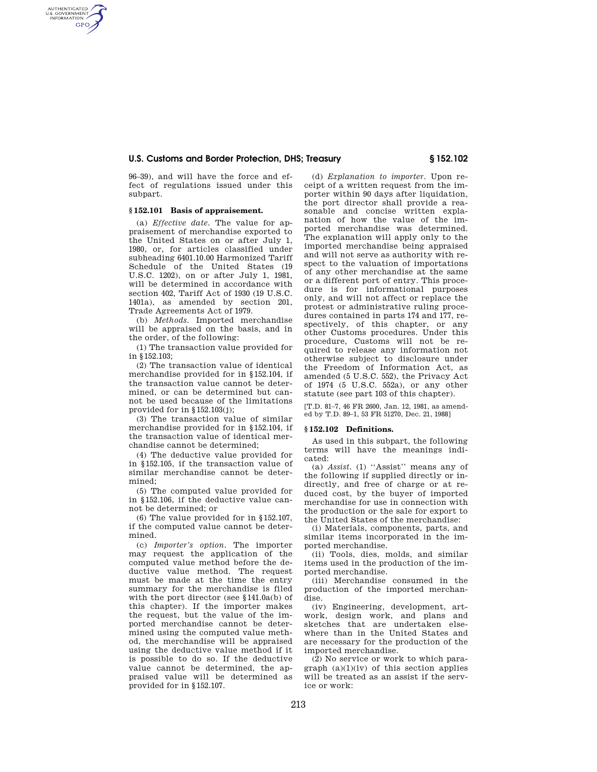# **U.S. Customs and Border Protection, DHS; Treasury § 152.102**

96–39), and will have the force and effect of regulations issued under this subpart.

# **§ 152.101 Basis of appraisement.**

AUTHENTICATED<br>U.S. GOVERNMENT<br>INFORMATION **GPO** 

> (a) *Effective date.* The value for appraisement of merchandise exported to the United States on or after July 1, 1980, or, for articles classified under subheading 6401.10.00 Harmonized Tariff Schedule of the United States (19 U.S.C. 1202), on or after July 1, 1981, will be determined in accordance with section 402, Tariff Act of 1930 (19 U.S.C. 1401a), as amended by section 201, Trade Agreements Act of 1979.

(b) *Methods.* Imported merchandise will be appraised on the basis, and in the order, of the following:

(1) The transaction value provided for in §152.103;

(2) The transaction value of identical merchandise provided for in §152.104, if the transaction value cannot be determined, or can be determined but cannot be used because of the limitations provided for in §152.103(j);

(3) The transaction value of similar merchandise provided for in §152.104, if the transaction value of identical merchandise cannot be determined;

(4) The deductive value provided for in §152.105, if the transaction value of similar merchandise cannot be determined;

(5) The computed value provided for in §152.106, if the deductive value cannot be determined; or

(6) The value provided for in §152.107, if the computed value cannot be determined.

(c) *Importer's option.* The importer may request the application of the computed value method before the deductive value method. The request must be made at the time the entry summary for the merchandise is filed with the port director (see §141.0a(b) of this chapter). If the importer makes the request, but the value of the imported merchandise cannot be determined using the computed value method, the merchandise will be appraised using the deductive value method if it is possible to do so. If the deductive value cannot be determined, the appraised value will be determined as provided for in §152.107.

(d) *Explanation to importer.* Upon receipt of a written request from the importer within 90 days after liquidation, the port director shall provide a reasonable and concise written explanation of how the value of the imported merchandise was determined. The explanation will apply only to the imported merchandise being appraised and will not serve as authority with respect to the valuation of importations of any other merchandise at the same or a different port of entry. This procedure is for informational purposes only, and will not affect or replace the protest or administrative ruling procedures contained in parts 174 and 177, respectively, of this chapter, or any other Customs procedures. Under this procedure, Customs will not be required to release any information not otherwise subject to disclosure under the Freedom of Information Act, as amended (5 U.S.C. 552), the Privacy Act of 1974 (5 U.S.C. 552a), or any other statute (see part 103 of this chapter).

[T.D. 81–7, 46 FR 2600, Jan. 12, 1981, as amended by T.D. 89–1, 53 FR 51270, Dec. 21, 1988]

### **§ 152.102 Definitions.**

As used in this subpart, the following terms will have the meanings indicated:

(a) *Assist.* (1) ''Assist'' means any of the following if supplied directly or indirectly, and free of charge or at reduced cost, by the buyer of imported merchandise for use in connection with the production or the sale for export to the United States of the merchandise:

(i) Materials, components, parts, and similar items incorporated in the imported merchandise.

(ii) Tools, dies, molds, and similar items used in the production of the imported merchandise.

(iii) Merchandise consumed in the production of the imported merchandise.

(iv) Engineering, development, artwork, design work, and plans and sketches that are undertaken elsewhere than in the United States and are necessary for the production of the imported merchandise.

(2) No service or work to which paragraph  $(a)(1)(iv)$  of this section applies will be treated as an assist if the service or work: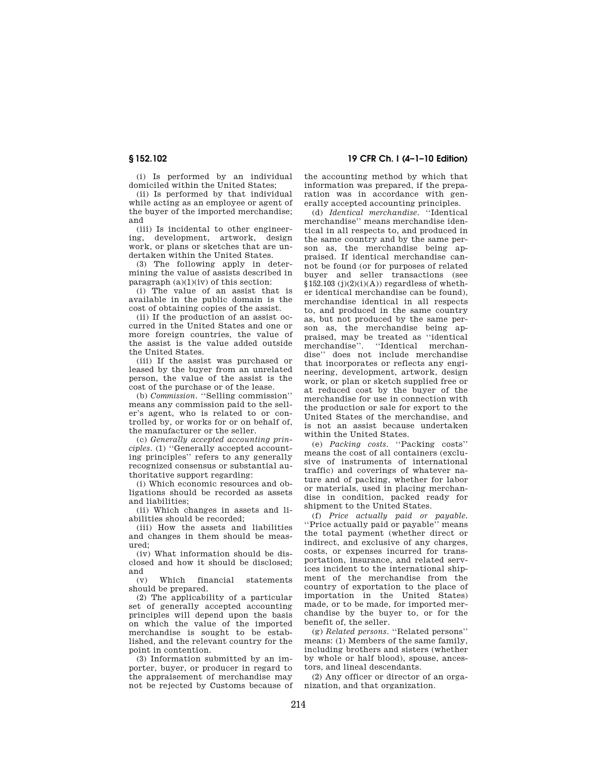(i) Is performed by an individual domiciled within the United States;

(ii) Is performed by that individual while acting as an employee or agent of the buyer of the imported merchandise; and

(iii) Is incidental to other engineering, development, artwork, design work, or plans or sketches that are undertaken within the United States.

(3) The following apply in determining the value of assists described in paragraph  $(a)(1)(iv)$  of this section:

(i) The value of an assist that is available in the public domain is the cost of obtaining copies of the assist.

(ii) If the production of an assist occurred in the United States and one or more foreign countries, the value of the assist is the value added outside the United States.

(iii) If the assist was purchased or leased by the buyer from an unrelated person, the value of the assist is the cost of the purchase or of the lease.

(b) *Commission.* ''Selling commission'' means any commission paid to the seller's agent, who is related to or controlled by, or works for or on behalf of, the manufacturer or the seller.

(c) *Generally accepted accounting principles.* (1) ''Generally accepted accounting principles'' refers to any generally recognized consensus or substantial authoritative support regarding:

(i) Which economic resources and obligations should be recorded as assets and liabilities;

(ii) Which changes in assets and liabilities should be recorded;

(iii) How the assets and liabilities and changes in them should be measured;

(iv) What information should be disclosed and how it should be disclosed; and

(v) Which financial statements should be prepared.

(2) The applicability of a particular set of generally accepted accounting principles will depend upon the basis on which the value of the imported merchandise is sought to be established, and the relevant country for the point in contention.

(3) Information submitted by an importer, buyer, or producer in regard to the appraisement of merchandise may not be rejected by Customs because of the accounting method by which that information was prepared, if the preparation was in accordance with generally accepted accounting principles.

(d) *Identical merchandise.* ''Identical merchandise'' means merchandise identical in all respects to, and produced in the same country and by the same person as, the merchandise being appraised. If identical merchandise cannot be found (or for purposes of related buyer and seller transactions (see  $$152.103 (j)(2)(i)(A))$  regardless of whether identical merchandise can be found), merchandise identical in all respects to, and produced in the same country as, but not produced by the same person as, the merchandise being appraised, may be treated as ''identical merchandise''. ''Identical merchandise'' does not include merchandise that incorporates or reflects any engineering, development, artwork, design work, or plan or sketch supplied free or at reduced cost by the buyer of the merchandise for use in connection with the production or sale for export to the United States of the merchandise, and is not an assist because undertaken within the United States.

(e) *Packing costs.* ''Packing costs'' means the cost of all containers (exclusive of instruments of international traffic) and coverings of whatever nature and of packing, whether for labor or materials, used in placing merchandise in condition, packed ready for shipment to the United States.

(f) *Price actually paid or payable.*  ''Price actually paid or payable'' means the total payment (whether direct or indirect, and exclusive of any charges, costs, or expenses incurred for transportation, insurance, and related services incident to the international shipment of the merchandise from the country of exportation to the place of importation in the United States) made, or to be made, for imported merchandise by the buyer to, or for the benefit of, the seller.

(g) *Related persons.* ''Related persons'' means: (1) Members of the same family, including brothers and sisters (whether by whole or half blood), spouse, ancestors, and lineal descendants.

(2) Any officer or director of an organization, and that organization.